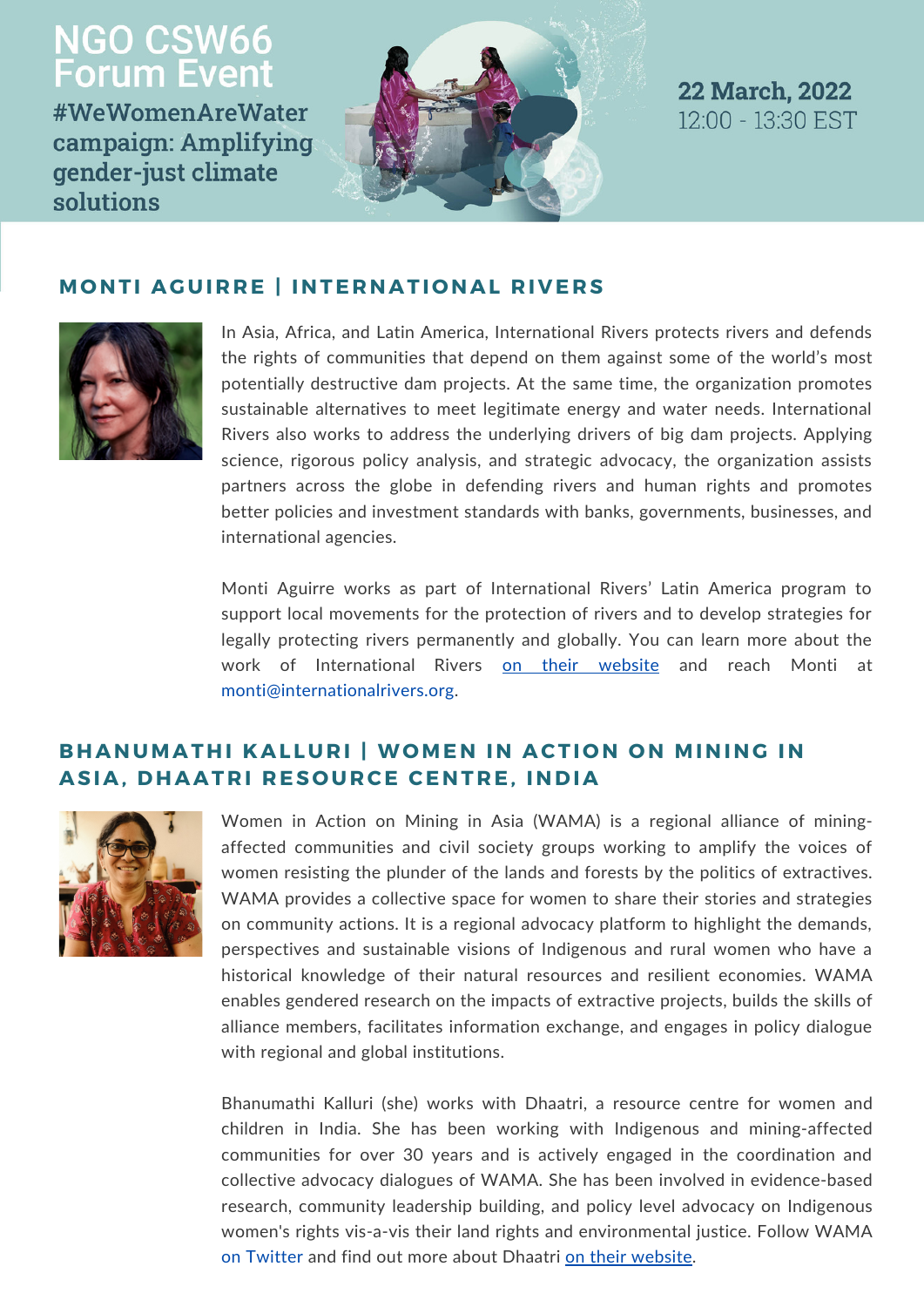# **NGO CSW66<br>Forum Event**

#WeWomenAreWater campaign: Amplifying gender-just climate solutions





#### **MONTI AGUIRRE | INTERNATIONAL RIVERS**



In Asia, Africa, and Latin America, International Rivers protects rivers and defends the rights of communities that depend on them against some of the world's most potentially destructive dam projects. At the same time, the organization promotes sustainable alternatives to meet legitimate energy and water needs. International Rivers also works to address the underlying drivers of big dam projects. Applying science, rigorous policy analysis, and strategic advocacy, the organization assists partners across the globe in defending rivers and human rights and promotes better policies and investment standards with banks, governments, businesses, and international agencies.

Monti Aguirre works as part of International Rivers' Latin America program to support local movements for the protection of rivers and to develop strategies for legally protecting rivers permanently and globally. You can learn more about the work of [International](https://www.internationalrivers.org/) Rivers on their [website](https://www.internationalrivers.org/) and reach Monti at [monti@internationalrivers.org.](mailto:monti@internationalrivers.org)

# **BHANUMATHI KAL LUR I | WOMEN IN ACTI O N O N MINING IN ASIA, DHAAT R I R ES O UR CE CENT R E, INDIA**



Women in Action on Mining in Asia (WAMA) is a regional alliance of miningaffected communities and civil society groups working to amplify the voices of women resisting the plunder of the lands and forests by the politics of extractives. WAMA provides a collective space for women to share their stories and strategies on community actions. It is a regional advocacy platform to highlight the demands, perspectives and sustainable visions of Indigenous and rural women who have a historical knowledge of their natural resources and resilient economies. WAMA enables gendered research on the impacts of extractive projects, builds the skills of alliance members, facilitates information exchange, and engages in policy dialogue with regional and global institutions.

Bhanumathi Kalluri (she) works with Dhaatri, a resource centre for women and children in India. She has been working with Indigenous and mining-affected communities for over 30 years and is actively engaged in the coordination and collective advocacy dialogues of WAMA. She has been involved in evidence-based research, community leadership building, and policy level advocacy on Indigenous women's rights vis-a-vis their land rights and environmental justice. Follow WAMA on [Twitter](https://twitter.com/womenwama) and find out more about Dhaatri on their [website.](https://www.dhaatri.org/)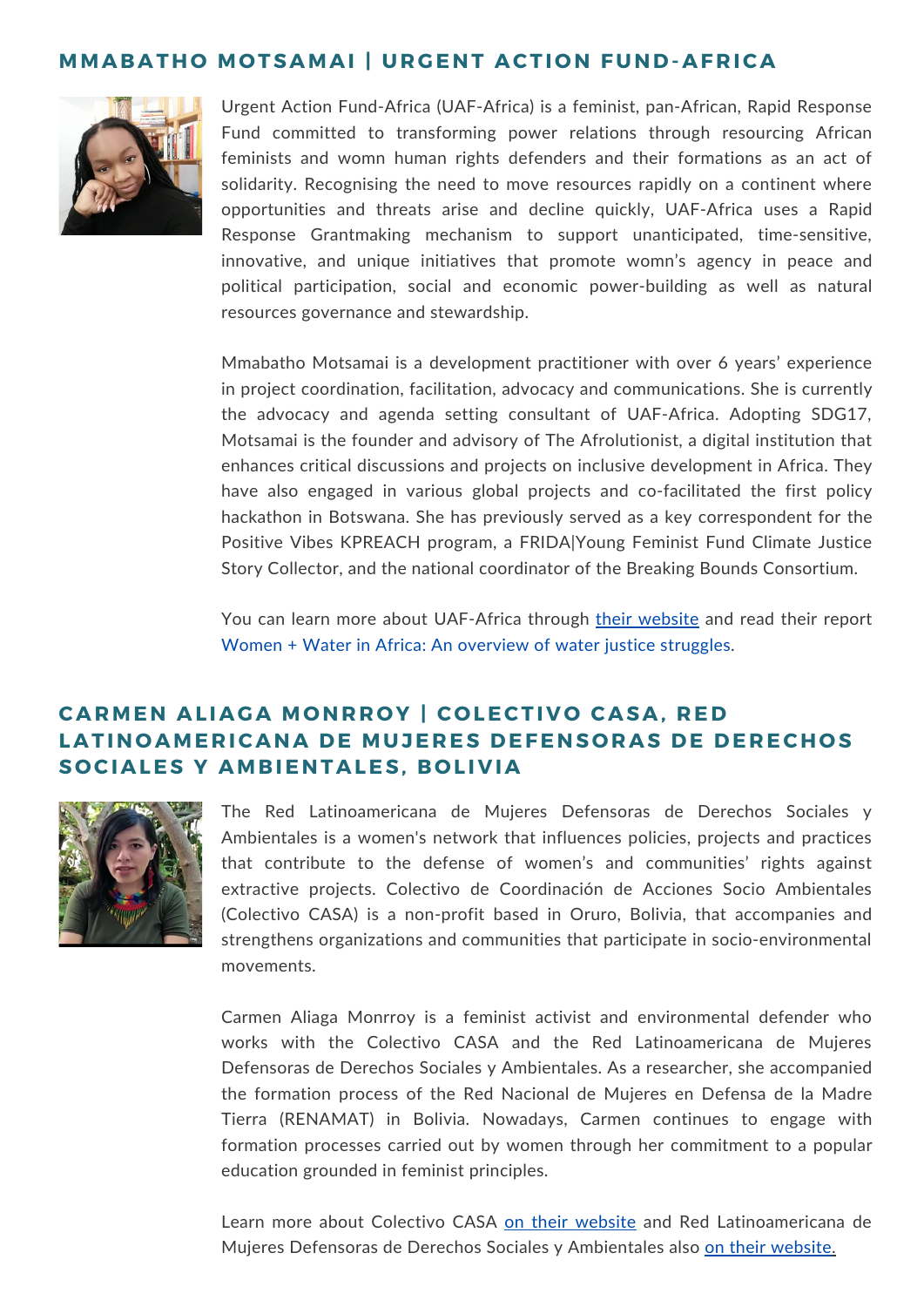### **MMABATH O MO TSAMAI | UR G ENT ACTI O N FUND-AF R ICA**



Urgent Action Fund-Africa (UAF-Africa) is a feminist, pan-African, Rapid Response Fund committed to transforming power relations through resourcing African feminists and womn human rights defenders and their formations as an act of solidarity. Recognising the need to move resources rapidly on a continent where opportunities and threats arise and decline quickly, UAF-Africa uses a Rapid Response Grantmaking mechanism to support unanticipated, time-sensitive, innovative, and unique initiatives that promote womn's agency in peace and political participation, social and economic power-building as well as natural resources governance and stewardship.

Mmabatho Motsamai is a development practitioner with over 6 years' experience in project coordination, facilitation, advocacy and communications. She is currently the advocacy and agenda setting consultant of UAF-Africa. Adopting SDG17, Motsamai is the founder and advisory of The Afrolutionist, a digital institution that enhances critical discussions and projects on inclusive development in Africa. They have also engaged in various global projects and co-facilitated the first policy hackathon in Botswana. She has previously served as a key correspondent for the Positive Vibes KPREACH program, a FRIDA|Young Feminist Fund Climate Justice Story Collector, and the national coordinator of the Breaking Bounds Consortium.

You can learn more about UAF-Africa [through](https://www.uaf-africa.org/) their [website](https://www.uaf-africa.org/) and read their report Women + Water in Africa: An [overview](https://www.uaf-africa.org/wp-content/uploads/2021/10/UAF-AFRICA-WOMN-AND-WATER-JUSTICE-STRUGGLES-REPORT.pdf) of water justice struggles.

# **CARMEN AL IAGA MO NR R O Y | C O LECTI V O CASA, R ED LATINOAMERICANA DE MUJERES DEFENSORAS DE DERECHOS S O CIALES Y AMB IENTALES, B O L I V IA**



The Red Latinoamericana de Mujeres Defensoras de Derechos Sociales y Ambientales is a women's network that influences policies, projects and practices that contribute to the defense of women's and communities' rights against extractive projects. Colectivo de Coordinación de Acciones Socio Ambientales (Colectivo CASA) is a non-profit based in Oruro, Bolivia, that accompanies and strengthens organizations and communities that participate in socio-environmental movements.

Carmen Aliaga Monrroy is a feminist activist and environmental defender who works with the Colectivo CASA and the Red Latinoamericana de Mujeres Defensoras de Derechos Sociales y Ambientales. As a researcher, she accompanied the formation process of the Red Nacional de Mujeres en Defensa de la Madre Tierra (RENAMAT) in Bolivia. Nowadays, Carmen continues to engage with formation processes carried out by women through her commitment to a popular education grounded in feminist principles.

Learn more about Colectivo CASA on their [website](https://colectivocasa.org.bo/) and Red Latinoamericana de Mujeres Defensoras de Derechos Sociales y Ambientales also on their [website.](https://www.redlatinoamericanademujeres.org/)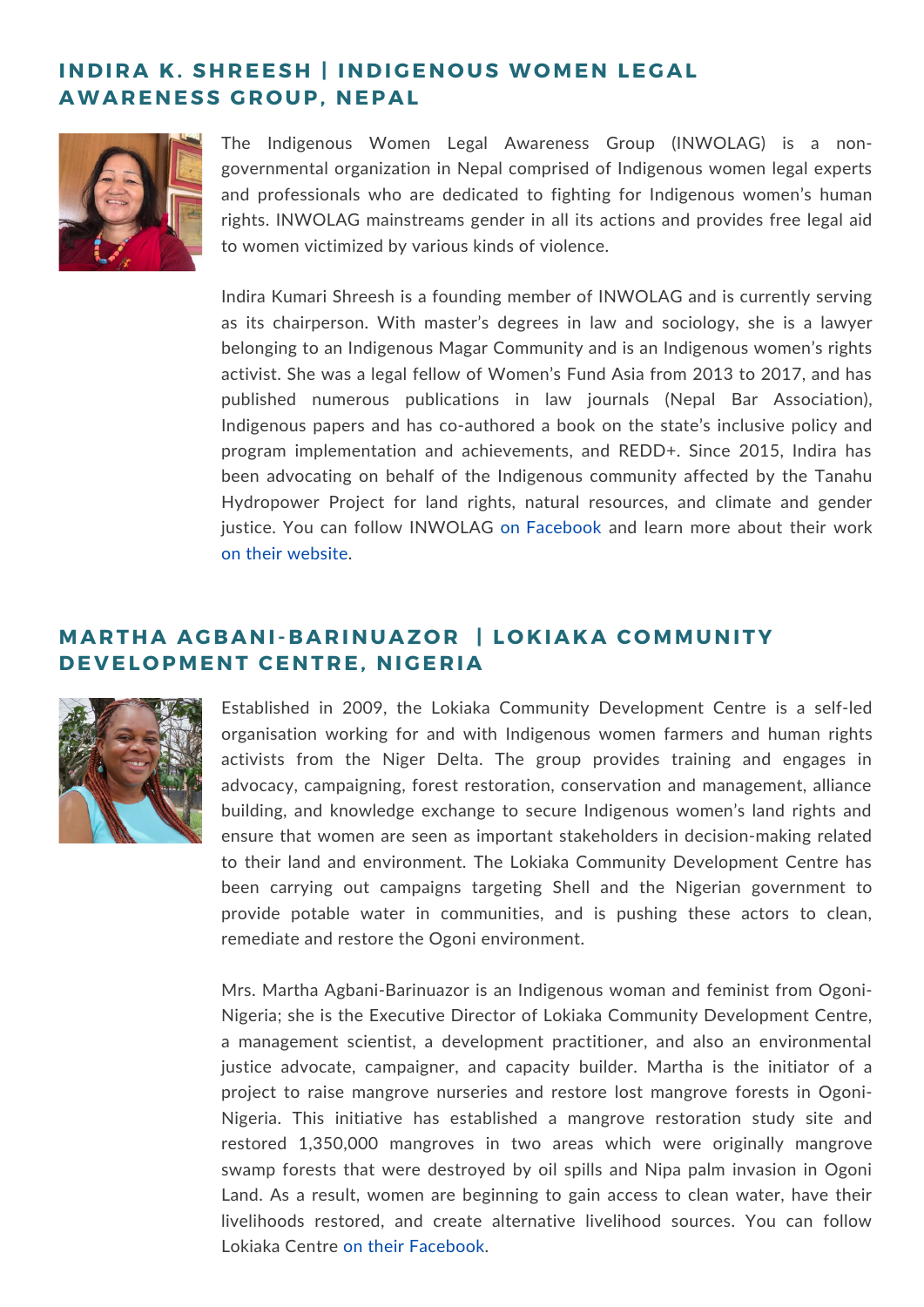# **INDIRA K. SHREESH | INDIGENOUS WOMEN LEGAL AWAR ENESS G R O UP, NEPAL**



The Indigenous Women Legal Awareness Group (INWOLAG) is a nongovernmental organization in Nepal comprised of Indigenous women legal experts and professionals who are dedicated to fighting for Indigenous women's human rights. INWOLAG mainstreams gender in all its actions and provides free legal aid to women victimized by various kinds of violence.

Indira Kumari Shreesh is a founding member of INWOLAG and is currently serving as its chairperson. With master's degrees in law and sociology, she is a lawyer belonging to an Indigenous Magar Community and is an Indigenous women's rights activist. She was a legal fellow of Women's Fund Asia from 2013 to 2017, and has published numerous publications in law journals (Nepal Bar Association), Indigenous papers and has co-authored a book on the state's inclusive policy and program implementation and achievements, and REDD+. Since 2015, Indira has been advocating on behalf of the Indigenous community affected by the Tanahu Hydropower Project for land rights, natural resources, and climate and gender justice. You can follow INWOLAG on [Facebook](https://www.facebook.com/INWOLAG/) and learn more about their work on their [website](http://www.inwolag.org.np/?fbclid=IwAR1BYe0rEk14cgFt0zZfQ8yp6-XwpmF0fuOn7PaYfzVqjiqsaRueWQcK8CM).

# **MAR THA AG BANI- BAR INUAZ O R | L O K IAKA C OMMUNITY DE V EL O PMENT CENT R E, NI G E R IA**



Established in 2009, the Lokiaka Community Development Centre is a self-led organisation working for and with Indigenous women farmers and human rights activists from the Niger Delta. The group provides training and engages in advocacy, campaigning, forest restoration, conservation and management, alliance building, and knowledge exchange to secure Indigenous women's land rights and ensure that women are seen as important stakeholders in decision-making related to their land and environment. The Lokiaka Community Development Centre has been carrying out campaigns targeting Shell and the Nigerian government to provide potable water in communities, and is pushing these actors to clean, remediate and restore the Ogoni environment.

Mrs. Martha Agbani-Barinuazor is an Indigenous woman and feminist from Ogoni-Nigeria; she is the Executive Director of Lokiaka Community Development Centre, a management scientist, a development practitioner, and also an environmental justice advocate, campaigner, and capacity builder. Martha is the initiator of a project to raise mangrove nurseries and restore lost mangrove forests in Ogoni-Nigeria. This initiative has established a mangrove restoration study site and restored 1,350,000 mangroves in two areas which were originally mangrove swamp forests that were destroyed by oil spills and Nipa palm invasion in Ogoni Land. As a result, women are beginning to gain access to clean water, have their livelihoods restored, and create alternative livelihood sources. You can follow Lokiaka Centre on their [Facebook](https://www.facebook.com/lokiaka.centre).